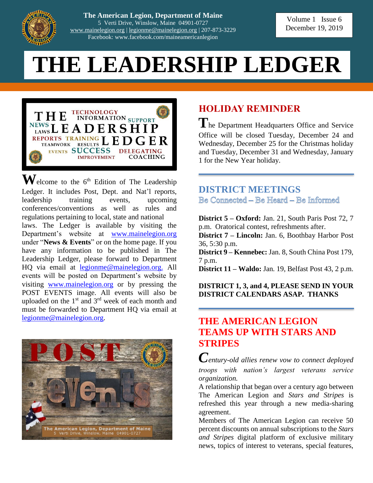

**The American Legion, Department of Maine** 5 Verti Drive, Winslow, Maine 04901-0727 [www.mainelegion.org](http://www.mainelegion.org/) | [legionme@mainelegion.org](mailto:legionme@mainelegion.org) | 207-873-3229 Facebook: www.facebook.com/maineamericanlegion

# **THE LEADERSHIP LEDGER**



 $\mathbf{W}$ elcome to the 6<sup>th</sup> Edition of The Leadership Ledger. It includes Post, Dept. and Nat'l reports, leadership training events, upcoming conferences/conventions as well as rules and regulations pertaining to local, state and national laws. The Ledger is available by visiting the Department's website at [www.mainelegion.org](http://www.mainelegion.org/) under "**News & Events**" or on the home page. If you have any information to be published in The Leadership Ledger, please forward to Department HQ via email at [legionme@mainelegion.org.](mailto:legionme@mainelegion.org) All events will be posted on Department's website by visiting [www.mainelegion.org](http://www.mainelegion.org/) or by pressing the POST EVENTS image. All events will also be uploaded on the  $1<sup>st</sup>$  and  $3<sup>rd</sup>$  week of each month and must be forwarded to Department HQ via email at [legionme@mainelegion.org.](mailto:legionme@mainelegion.org)



# **HOLIDAY REMINDER**

The Department Headquarters Office and Service Office will be closed Tuesday, December 24 and Wednesday, December 25 for the Christmas holiday and Tuesday, December 31 and Wednesday, January 1 for the New Year holiday.

**DISTRICT MEETINGS** Be Connected - Be Heard - Be Informed

**District 5 – Oxford:** Jan. 21, South Paris Post 72, 7 p.m. Oratorical contest, refreshments after.

**District 7 – Lincoln:** Jan. 6, Boothbay Harbor Post 36, 5:30 p.m.

**District 9 – Kennebec:** Jan. 8, South China Post 179, 7 p.m.

**District 11 – Waldo:** Jan. 19, Belfast Post 43, 2 p.m.

#### **DISTRICT 1, 3, and 4, PLEASE SEND IN YOUR DISTRICT CALENDARS ASAP. THANKS**

## **THE AMERICAN LEGION TEAMS UP WITH STARS AND STRIPES**

*Century-old allies renew vow to connect deployed troops with nation's largest veterans service organization.*

A relationship that began over a century ago between The American Legion and *Stars and Stripes* is refreshed this year through a new media-sharing agreement.

Members of The American Legion can receive 50 percent discounts on annual subscriptions to the *Stars and Stripes* digital platform of exclusive military news, topics of interest to veterans, special features,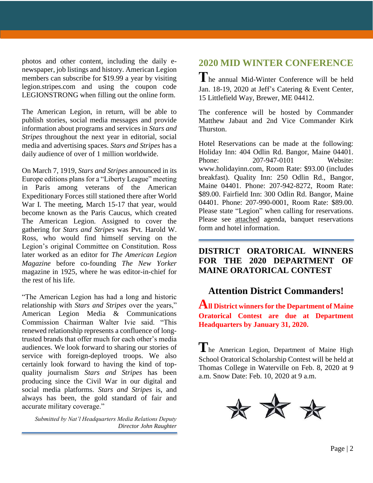photos and other content, including the daily enewspaper, job listings and history. American Legion members can subscribe for \$19.99 a year by visiting legion.stripes.com and using the coupon code LEGIONSTRONG when filling out the online form.

The American Legion, in return, will be able to publish stories, social media messages and provide information about programs and services in *Stars and Stripes* throughout the next year in editorial, social media and advertising spaces. *Stars and Stripes* has a daily audience of over of 1 million worldwide.

On March 7, 1919, *Stars and Stripes* announced in its Europe editions plans for a "Liberty League" meeting in Paris among veterans of the American Expeditionary Forces still stationed there after World War I. The meeting, March 15-17 that year, would become known as the Paris Caucus, which created The American Legion. Assigned to cover the gathering for *Stars and Stripes* was Pvt. Harold W. Ross, who would find himself serving on the Legion's original Committee on Constitution. Ross later worked as an editor for *The American Legion Magazine* before co-founding *The New Yorker* magazine in 1925, where he was editor-in-chief for the rest of his life.

"The American Legion has had a long and historic relationship with *Stars and Stripes* over the years," American Legion Media & Communications Commission Chairman Walter Ivie said. "This renewed relationship represents a confluence of longtrusted brands that offer much for each other's media audiences. We look forward to sharing our stories of service with foreign-deployed troops. We also certainly look forward to having the kind of topquality journalism *Stars and Stripes* has been producing since the Civil War in our digital and social media platforms. *Stars and Stripes* is, and always has been, the gold standard of fair and accurate military coverage."

*Submitted by Nat'l Headquarters Media Relations Deputy Director John Raughter*

# **2020 MID WINTER CONFERENCE**

**T**he annual Mid-Winter Conference will be held Jan. 18-19, 2020 at Jeff's Catering & Event Center, 15 Littlefield Way, Brewer, ME 04412.

The conference will be hosted by Commander Matthew Jabaut and 2nd Vice Commander Kirk Thurston.

Hotel Reservations can be made at the following: Holiday Inn: 404 Odlin Rd. Bangor, Maine 04401. Phone: 207-947-0101 Website: www.holidayinn.com, Room Rate: \$93.00 (includes breakfast). Quality Inn: 250 Odlin Rd., Bangor, Maine 04401. Phone: 207-942-8272, Room Rate: \$89.00. Fairfield Inn: 300 Odlin Rd. Bangor, Maine 04401. Phone: 207-990-0001, Room Rate: \$89.00. Please state "Legion" when calling for reservations. Please see attached agenda, banquet reservations form and hotel information.

#### **DISTRICT ORATORICAL WINNERS FOR THE 2020 DEPARTMENT OF MAINE ORATORICAL CONTEST**

## **Attention District Commanders!**

**All District winners for the Department of Maine Oratorical Contest are due at Department Headquarters by January 31, 2020.** 

**T**he American Legion, Department of Maine High School Oratorical Scholarship Contest will be held at Thomas College in Waterville on Feb. 8, 2020 at 9 a.m. Snow Date: Feb. 10, 2020 at 9 a.m.

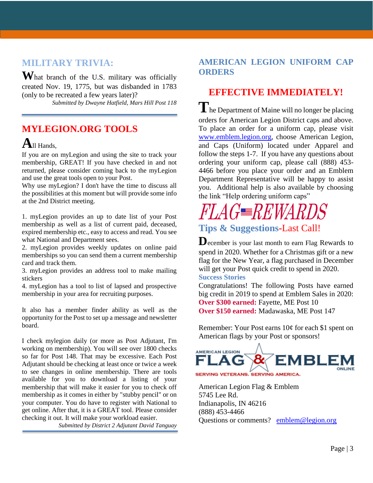# **MILITARY TRIVIA:**

**W**hat branch of the U.S. military was officially created Nov. 19, 1775, but was disbanded in 1783 (only to be recreated a few years later)?

*Submitted by Dwayne Hatfield, Mars Hill Post 118*

# **MYLEGION.ORG TOOLS**

# **A**ll Hands,

If you are on myLegion and using the site to track your membership, GREAT! If you have checked in and not returned, please consider coming back to the myLegion and use the great tools open to your Post.

Why use myLegion? I don't have the time to discuss all the possibilities at this moment but will provide some info at the 2nd District meeting.

1. myLegion provides an up to date list of your Post membership as well as a list of current paid, deceased, expired membership etc., easy to access and read. You see what National and Department sees.

2. myLegion provides weekly updates on online paid memberships so you can send them a current membership card and track them.

3. myLegion provides an address tool to make mailing stickers

4. myLegion has a tool to list of lapsed and prospective membership in your area for recruiting purposes.

It also has a member finder ability as well as the opportunity for the Post to set up a message and newsletter board.

I check mylegion daily (or more as Post Adjutant, I'm working on membership). You will see over 1800 checks so far for Post 148. That may be excessive. Each Post Adjutant should be checking at least once or twice a week to see changes in online membership. There are tools available for you to download a listing of your membership that will make it easier for you to check off membership as it comes in either by "stubby pencil" or on your computer. You do have to register with National to get online. After that, it is a GREAT tool. Please consider checking it out. It will make your workload easier.

*Submitted by District 2 Adjutant David Tanguay*

#### **AMERICAN LEGION UNIFORM CAP ORDERS**

### **EFFECTIVE IMMEDIATELY!**

**T**he Department of Maine will no longer be placing orders for American Legion District caps and above. To place an order for a uniform cap, please visit [www.emblem.legion.org,](http://www.emblem.legion.org/) choose American Legion, and Caps (Uniform) located under Apparel and follow the steps 1-7. If you have any questions about ordering your uniform cap, please call (888) 453- 4466 before you place your order and an Emblem Department Representative will be happy to assist you. Additional help is also available by choosing the link "Help ordering uniform caps"

# *FLAGWARDS*

# **Tips & Suggestions-**Last Call!

**D**ecember is your last month to earn Flag Rewards to spend in 2020. Whether for a Christmas gift or a new flag for the New Year, a flag purchased in December will get your Post quick credit to spend in 2020. **Success Stories**

Congratulations! The following Posts have earned big credit in 2019 to spend at Emblem Sales in 2020: **Over \$300 earned:** Fayette, ME Post 10 **Over \$150 earned:** Madawaska, ME Post 147

Remember: Your Post earns 10¢ for each \$1 spent on American flags by your Post or sponsors!



American Legion Flag & Emblem 5745 Lee Rd. Indianapolis, IN 46216 (888) 453-4466 Questions or comments? [emblem@legion.org](mailto:emblem@legion.org)